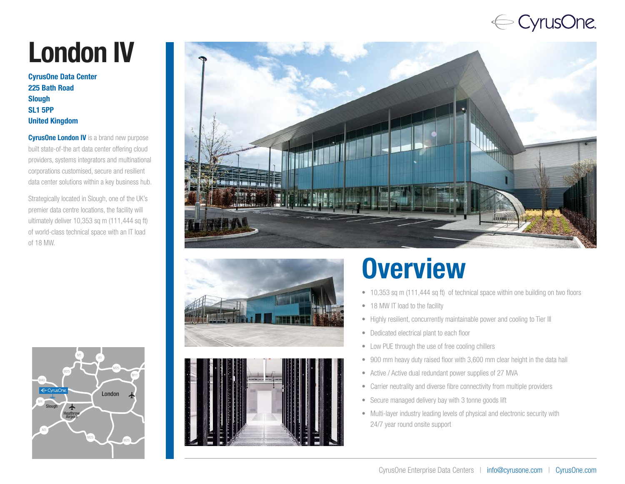### ← CyrusOne.

# London IV

CyrusOne Data Center 225 Bath Road Slough SL1 5PP United Kingdom

**CyrusOne London IV** is a brand new purpose built state-of-the art data center offering cloud providers, systems integrators and multinational corporations customised, secure and resilient data center solutions within a key business hub.

Strategically located in Slough, one of the UK's premier data centre locations, the facility will ultimately deliver 10,353 sq m (111,444 sq ft) of world-class technical space with an IT load of 18 MW.







## **Overview**

- 10,353 sq m (111,444 sq ft) of technical space within one building on two floors
- 18 MW IT load to the facility
- Highly resilient, concurrently maintainable power and cooling to Tier III
- Dedicated electrical plant to each floor
- Low PUE through the use of free cooling chillers
- 900 mm heavy duty raised floor with 3,600 mm clear height in the data hall
- Active / Active dual redundant power supplies of 27 MVA
- Carrier neutrality and diverse fibre connectivity from multiple providers
- Secure managed delivery bay with 3 tonne goods lift
- Multi-layer industry leading levels of physical and electronic security with 24/7 year round onsite support